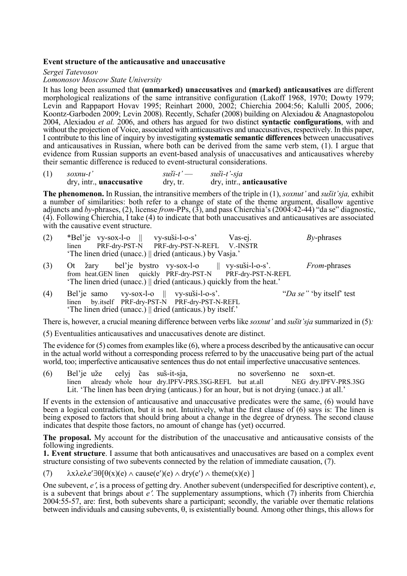## **Event structure of the anticausative and unaccusative**

*Sergei Tatevosov* 

*Lomonosov Moscow State University* 

It has long been assumed that **(unmarked) unaccusatives** and **(marked) anticausatives** are different morphological realizations of the same intransitive configuration (Lakoff 1968, 1970; Dowty 1979; Levin and Rappaport Hovav 1995; Reinhart 2000, 2002; Chierchia 2004:56; Kalulli 2005, 2006; Koontz-Garboden 2009; Levin 2008). Recently, Schafer (2008) building on Alexiadou & Anagnastopolou 2004, Alexiadou *et al.* 2006, and others has argued for two distinct **syntactic configurations**, with and without the projection of Voice, associated with anticausatives and unaccusatives, respectively. In this paper, I contribute to this line of inquiry by investigating **systematic semantic differences** between unaccusatives and anticausatives in Russian, where both can be derived from the same verb stem, (1). I argue that evidence from Russian supports an event-based analysis of unaccusatives and anticausatives whereby their semantic difference is reduced to event-structural considerations.

| (1) | $soxnu-t'$                      | $s$ uši-t' $-$        | $s$ uši-t'-sja            |
|-----|---------------------------------|-----------------------|---------------------------|
|     | dry, intr., <b>unaccusative</b> | $\frac{dy}{dx}$ , tr. | dry, intr., anticausative |

**The phenomenon.** In Russian, the intransitive members of the triple in (1), *soxnut'* and *sušit'sja*, exhibit a number of similarities: both refer to a change of state of the theme argument, disallow agentive adjuncts and *by*-phrases, (2), license *from*-PPs, (3), and pass Chierchia's (2004:42-44) "da se" diagnostic, (4). Following Chierchia, I take (4) to indicate that both unaccusatives and anticausatives are associated with the causative event structure.

- (2) \*Bel'je vy-sox-l-o  $\parallel$  vy-suši-l-o-s' Vas-ej. *By-phrases* linen PRF-dry-PST-N PRF-dry-PST-N-REFL V.-INSTR  $\overline{PRF}$ -dry-PST-N-REFL 'The linen dried (unacc.) || dried (anticaus.) by Vasja.'
- (3) Ot žary bel'je bystro vy-sox-l-o  $||$  vy-suši-l-o-s'. *From*-phrases from heat. GEN linen quickly PRF-drv-PST-N PRF-drv-PST-N-REFL from heat.GEN linen quickly PRF-dry-PST-N 'The linen dried (unacc.) || dried (anticaus.) quickly from the heat.'
- (4) Bel'je samo vy-sox-l-o  $\parallel$  vy-suši-l-o-s'. "*Da se*" by itself' test linen by.itself PRF-dry-PST-N PRF-dry-PST-N-REFL 'The linen dried (unacc.) || dried (anticaus.) by itself.'

There is, however, a crucial meaning difference between verbs like *soxnut'* and *sustit'sia* summarized in (5):

(5) Eventualities anticausatives and unaccusatives denote are distinct.

The evidence for (5) comes from examples like (6), where a process described by the anticausative can occur in the actual world without a corresponding process referred to by the unaccusative being part of the actual world, too; imperfective anticausative sentences thus do not entail imperfective unaccusative sentences.

(6) Bel'je uže celyj čas suš-it-sja, no soveršenno ne soxn-et.<br>
linen already whole hour dry.IPFV-PRS.3SG-REFL but at.all NEG dry.IPFV-PRS.3SG  $linen$  already whole hour dry.IPFV-PRS.3SG-REFL but at.all Lit. 'The linen has been drying (anticaus.) for an hour, but is not drying (unacc.) at all.'

If events in the extension of anticausative and unaccusative predicates were the same, (6) would have been a logical contradiction, but it is not. Intuitively, what the first clause of (6) says is: The linen is being exposed to factors that should bring about a change in the degree of dryness. The second clause indicates that despite those factors, no amount of change has (yet) occurred.

**The proposal.** My account for the distribution of the unaccusative and anticausative consists of the following ingredients.

**1. Event structure**. I assume that both anticausatives and unaccusatives are based on a complex event structure consisting of two subevents connected by the relation of immediate causation, (7).

(7)  $\lambda x \lambda e \lambda e' \exists \theta [\theta(x)(e) \wedge cause(e')(e) \wedge dry(e') \wedge theme(x)(e)]$ 

One subevent, *e*′, is a process of getting dry. Another subevent (underspecified for descriptive content), *e*, is a subevent that brings about *e*′. The supplementary assumptions, which (7) inherits from Chierchia 2004:55-57, are: first, both subevents share a participant; secondly, the variable over thematic relations between individuals and causing subevents, θ, is existentially bound. Among other things, this allows for